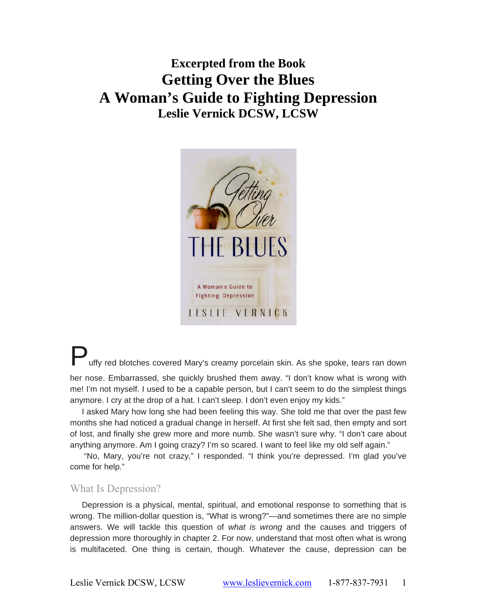# **Excerpted from the Book Getting Over the Blues A Woman's Guide to Fighting Depression Leslie Vernick DCSW, LCSW**



uffv red blotches covered Mary's creamy porcelain skin. As she spoke, tears ran down her nose. Embarrassed, she quickly brushed them away. "I don't know what is wrong with me! I'm not myself. I used to be a capable person, but I can't seem to do the simplest things

anymore. I cry at the drop of a hat. I can't sleep. I don't even enjoy my kids." I asked Mary how long she had been feeling this way. She told me that over the past few

months she had noticed a gradual change in herself. At first she felt sad, then empty and sort of lost, and finally she grew more and more numb. She wasn't sure why. "I don't care about anything anymore. Am I going crazy? I'm so scared. I want to feel like my old self again."

"No, Mary, you're not crazy," I responded. "I think you're depressed. I'm glad you've come for help."

# What Is Depression?

Depression is a physical, mental, spiritual, and emotional response to something that is wrong. The million-dollar question is, "What is wrong?"—and sometimes there are no simple answers. We will tackle this question of *what is wrong* and the causes and triggers of depression more thoroughly in chapter 2. For now, understand that most often what is wrong is multifaceted. One thing is certain, though. Whatever the cause, depression can be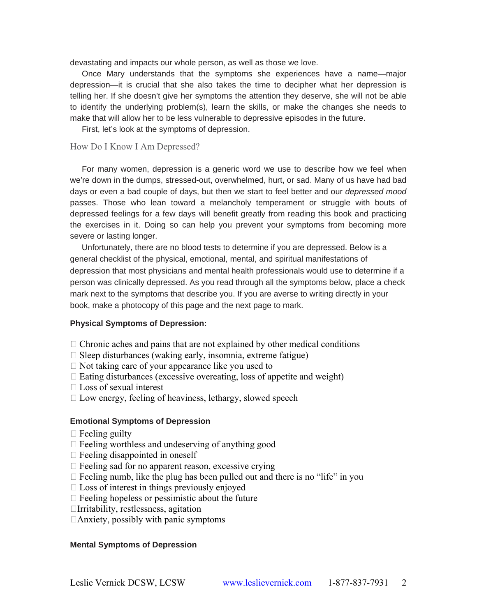devastating and impacts our whole person, as well as those we love.

Once Mary understands that the symptoms she experiences have a name—major depression—it is crucial that she also takes the time to decipher what her depression is telling her. If she doesn't give her symptoms the attention they deserve, she will not be able to identify the underlying problem(s), learn the skills, or make the changes she needs to make that will allow her to be less vulnerable to depressive episodes in the future.

First, let's look at the symptoms of depression.

# How Do I Know I Am Depressed?

For many women, depression is a generic word we use to describe how we feel when we're down in the dumps, stressed-out, overwhelmed, hurt, or sad. Many of us have had bad days or even a bad couple of days, but then we start to feel better and our *depressed mood*  passes. Those who lean toward a melancholy temperament or struggle with bouts of depressed feelings for a few days will benefit greatly from reading this book and practicing the exercises in it. Doing so can help you prevent your symptoms from becoming more severe or lasting longer.

Unfortunately, there are no blood tests to determine if you are depressed. Below is a general checklist of the physical, emotional, mental, and spiritual manifestations of depression that most physicians and mental health professionals would use to determine if a person was clinically depressed. As you read through all the symptoms below, place a check mark next to the symptoms that describe you. If you are averse to writing directly in your book, make a photocopy of this page and the next page to mark.

#### **Physical Symptoms of Depression:**

- $\Box$  Chronic aches and pains that are not explained by other medical conditions
- $\Box$  Sleep disturbances (waking early, insomnia, extreme fatigue)
- $\Box$  Not taking care of your appearance like you used to
- $\Box$  Eating disturbances (excessive overeating, loss of appetite and weight)
- $\Box$  Loss of sexual interest
- $\Box$  Low energy, feeling of heaviness, lethargy, slowed speech

#### **Emotional Symptoms of Depression**

- $\Box$  Feeling guilty
- $\Box$  Feeling worthless and undeserving of anything good
- $\Box$  Feeling disappointed in oneself
- $\Box$  Feeling sad for no apparent reason, excessive crying
- $\Box$  Feeling numb, like the plug has been pulled out and there is no "life" in you
- $\Box$  Loss of interest in things previously enjoyed
- $\Box$  Feeling hopeless or pessimistic about the future
- Irritability, restlessness, agitation
- $\Box$ Anxiety, possibly with panic symptoms

#### **Mental Symptoms of Depression**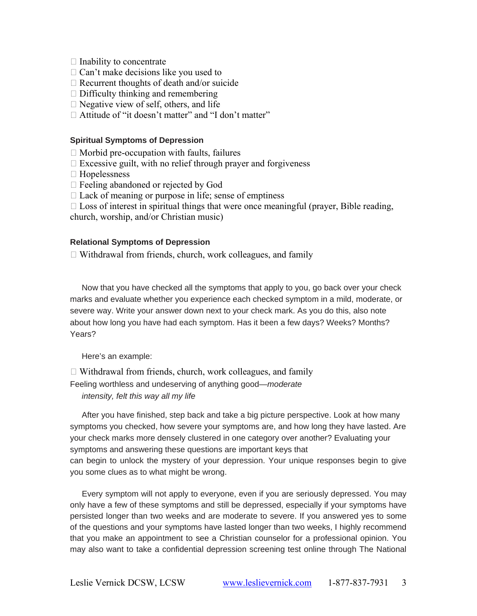- $\Box$  Inability to concentrate
- $\Box$  Can't make decisions like you used to
- $\Box$  Recurrent thoughts of death and/or suicide
- $\Box$  Difficulty thinking and remembering
- $\Box$  Negative view of self, others, and life
- □ Attitude of "it doesn't matter" and "I don't matter"

## **Spiritual Symptoms of Depression**

- $\Box$  Morbid pre-occupation with faults, failures
- $\Box$  Excessive guilt, with no relief through prayer and forgiveness
- □ Hopelessness
- Feeling abandoned or rejected by God
- $\Box$  Lack of meaning or purpose in life; sense of emptiness
- $\Box$  Loss of interest in spiritual things that were once meaningful (prayer, Bible reading,

church, worship, and/or Christian music)

# **Relational Symptoms of Depression**

Withdrawal from friends, church, work colleagues, and family

Now that you have checked all the symptoms that apply to you, go back over your check marks and evaluate whether you experience each checked symptom in a mild, moderate, or severe way. Write your answer down next to your check mark. As you do this, also note about how long you have had each symptom. Has it been a few days? Weeks? Months? Years?

Here's an example:

 $\Box$  Withdrawal from friends, church, work colleagues, and family

Feeling worthless and undeserving of anything good—*moderate intensity, felt this way all my life* 

After you have finished, step back and take a big picture perspective. Look at how many symptoms you checked, how severe your symptoms are, and how long they have lasted. Are your check marks more densely clustered in one category over another? Evaluating your symptoms and answering these questions are important keys that can begin to unlock the mystery of your depression. Your unique responses begin to give you some clues as to what might be wrong.

Every symptom will not apply to everyone, even if you are seriously depressed. You may only have a few of these symptoms and still be depressed, especially if your symptoms have persisted longer than two weeks and are moderate to severe. If you answered yes to some of the questions and your symptoms have lasted longer than two weeks, I highly recommend that you make an appointment to see a Christian counselor for a professional opinion. You may also want to take a confidential depression screening test online through The National